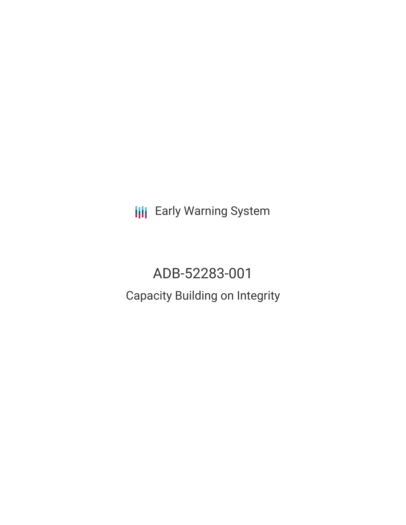**III** Early Warning System

ADB-52283-001 Capacity Building on Integrity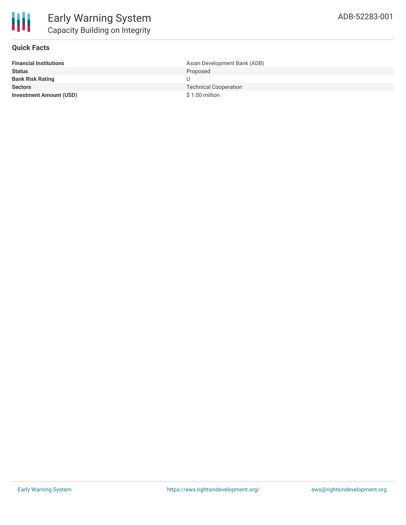

## **Quick Facts**

| <b>Financial Institutions</b>  | Asian Development Bank (ADB) |
|--------------------------------|------------------------------|
| <b>Status</b>                  | Proposed                     |
| <b>Bank Risk Rating</b>        |                              |
| <b>Sectors</b>                 | <b>Technical Cooperation</b> |
| <b>Investment Amount (USD)</b> | $$1.00$ million              |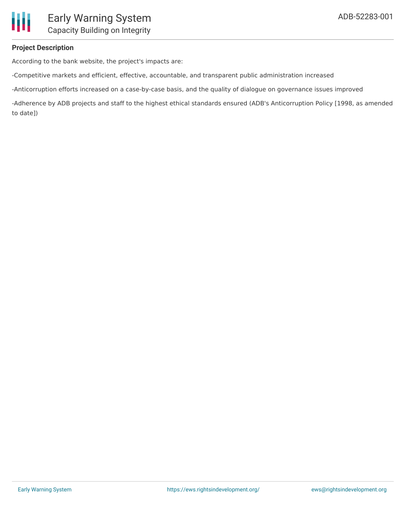# **Project Description**

According to the bank website, the project's impacts are:

-Competitive markets and efficient, effective, accountable, and transparent public administration increased

-Anticorruption efforts increased on a case-by-case basis, and the quality of dialogue on governance issues improved

-Adherence by ADB projects and staff to the highest ethical standards ensured (ADB's Anticorruption Policy [1998, as amended to date])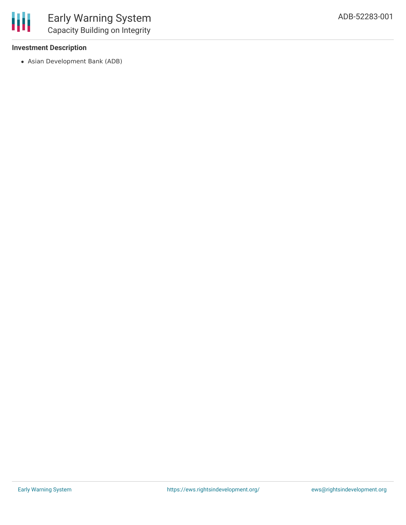# **Investment Description**

Asian Development Bank (ADB)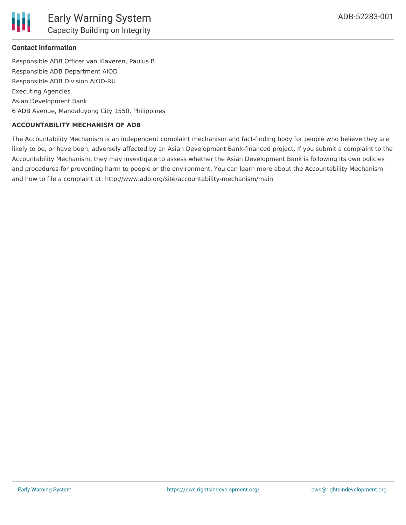# **Contact Information**

Responsible ADB Officer van Klaveren, Paulus B. Responsible ADB Department AIOD Responsible ADB Division AIOD-RU Executing Agencies Asian Development Bank 6 ADB Avenue, Mandaluyong City 1550, Philippines

#### **ACCOUNTABILITY MECHANISM OF ADB**

The Accountability Mechanism is an independent complaint mechanism and fact-finding body for people who believe they are likely to be, or have been, adversely affected by an Asian Development Bank-financed project. If you submit a complaint to the Accountability Mechanism, they may investigate to assess whether the Asian Development Bank is following its own policies and procedures for preventing harm to people or the environment. You can learn more about the Accountability Mechanism and how to file a complaint at: http://www.adb.org/site/accountability-mechanism/main